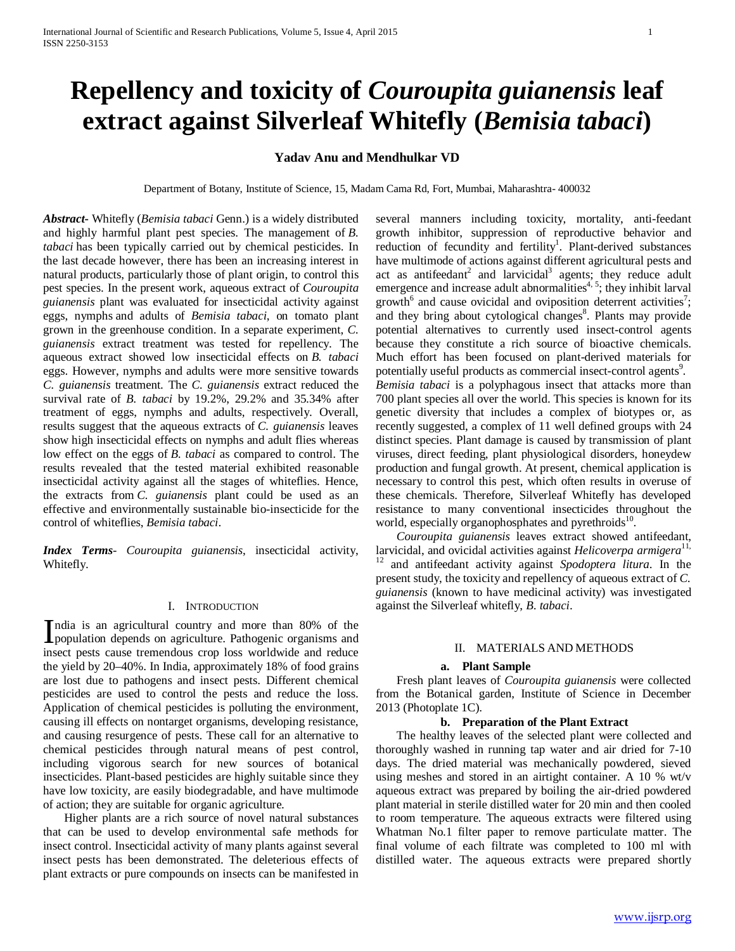# **Repellency and toxicity of** *Couroupita guianensis* **leaf extract against Silverleaf Whitefly (***Bemisia tabaci***)**

# **Yadav Anu and Mendhulkar VD**

Department of Botany, Institute of Science, 15, Madam Cama Rd, Fort, Mumbai, Maharashtra- 400032

*Abstract***-** Whitefly (*Bemisia tabaci* Genn.) is a widely distributed and highly harmful plant pest species. The management of *B. tabaci* has been typically carried out by chemical pesticides. In the last decade however, there has been an increasing interest in natural products, particularly those of plant origin, to control this pest species. In the present work, aqueous extract of *Couroupita guianensis* plant was evaluated for insecticidal activity against eggs, nymphs and adults of *Bemisia tabaci*, on tomato plant grown in the greenhouse condition. In a separate experiment, *C. guianensis* extract treatment was tested for repellency. The aqueous extract showed low insecticidal effects on *B. tabaci* eggs. However, nymphs and adults were more sensitive towards *C. guianensis* treatment. The *C. guianensis* extract reduced the survival rate of *B. tabaci* by 19.2%, 29.2% and 35.34% after treatment of eggs, nymphs and adults, respectively. Overall, results suggest that the aqueous extracts of *C. guianensis* leaves show high insecticidal effects on nymphs and adult flies whereas low effect on the eggs of *B. tabaci* as compared to control. The results revealed that the tested material exhibited reasonable insecticidal activity against all the stages of whiteflies. Hence, the extracts from *C. guianensis* plant could be used as an effective and environmentally sustainable bio-insecticide for the control of whiteflies, *Bemisia tabaci*.

*Index Terms*- *Couroupita guianensis*, insecticidal activity, Whitefly.

#### I. INTRODUCTION

ndia is an agricultural country and more than 80% of the India is an agricultural country and more than 80% of the population depends on agriculture. Pathogenic organisms and insect pests cause tremendous crop loss worldwide and reduce the yield by 20–40%. In India, approximately 18% of food grains are lost due to pathogens and insect pests. Different chemical pesticides are used to control the pests and reduce the loss. Application of chemical pesticides is polluting the environment, causing ill effects on nontarget organisms, developing resistance, and causing resurgence of pests. These call for an alternative to chemical pesticides through natural means of pest control, including vigorous search for new sources of botanical insecticides. Plant-based pesticides are highly suitable since they have low toxicity, are easily biodegradable, and have multimode of action; they are suitable for organic agriculture.

 Higher plants are a rich source of novel natural substances that can be used to develop environmental safe methods for insect control. Insecticidal activity of many plants against several insect pests has been demonstrated. The deleterious effects of plant extracts or pure compounds on insects can be manifested in several manners including toxicity, mortality, anti-feedant growth inhibitor, suppression of reproductive behavior and reduction of fecundity and fertility<sup>1</sup>. Plant-derived substances have multimode of actions against different agricultural pests and act as antifeedant<sup>2</sup> and larvicidal<sup>3</sup> agents; they reduce adult emergence and increase adult abnormalities<sup> $4, 5$ </sup>; they inhibit larval growth<sup>6</sup> and cause ovicidal and oviposition deterrent activities<sup>7</sup>; and they bring about cytological changes<sup>8</sup>. Plants may provide potential alternatives to currently used insect-control agents because they constitute a rich source of bioactive chemicals. Much effort has been focused on plant-derived materials for potentially useful products as commercial insect-control agents<sup>9</sup>. *Bemisia tabaci* is a polyphagous insect that attacks more than 700 plant species all over the world. This species is known for its genetic diversity that includes a complex of biotypes or, as recently suggested, a complex of 11 well defined groups with 24 distinct species. Plant damage is caused by transmission of plant viruses, direct feeding, plant physiological disorders, honeydew production and fungal growth. At present, chemical application is necessary to control this pest, which often results in overuse of these chemicals. Therefore, Silverleaf Whitefly has developed resistance to many conventional insecticides throughout the world, especially organophosphates and pyrethroids<sup>10</sup>.

 *Couroupita guianensis* leaves extract showed antifeedant, larvicidal, and ovicidal activities against *Helicoverpa armigera*11, <sup>12</sup> and antifeedant activity against *Spodoptera litura*. In the present study, the toxicity and repellency of aqueous extract of *C. guianensis* (known to have medicinal activity) was investigated against the Silverleaf whitefly, *B. tabaci*.

### II. MATERIALS AND METHODS

#### **a. Plant Sample**

 Fresh plant leaves of *Couroupita guianensis* were collected from the Botanical garden, Institute of Science in December 2013 (Photoplate 1C).

#### **b. Preparation of the Plant Extract**

 The healthy leaves of the selected plant were collected and thoroughly washed in running tap water and air dried for 7-10 days. The dried material was mechanically powdered, sieved using meshes and stored in an airtight container. A 10 % wt/v aqueous extract was prepared by boiling the air-dried powdered plant material in sterile distilled water for 20 min and then cooled to room temperature. The aqueous extracts were filtered using Whatman No.1 filter paper to remove particulate matter. The final volume of each filtrate was completed to 100 ml with distilled water. The aqueous extracts were prepared shortly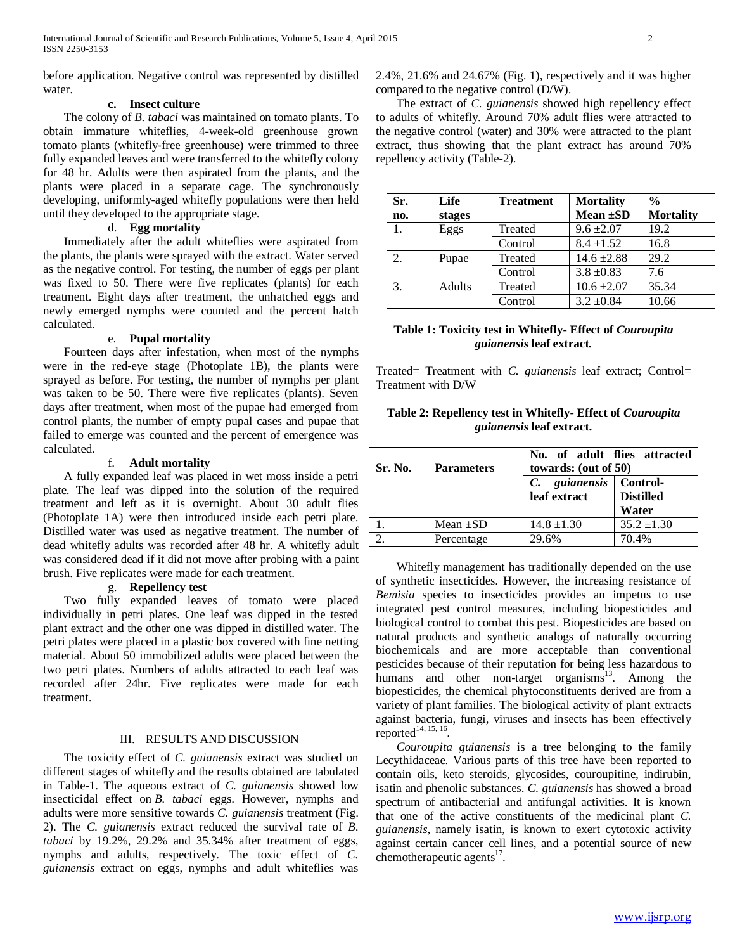before application. Negative control was represented by distilled water.

## **c. Insect culture**

 The colony of *B. tabaci* was maintained on tomato plants. To obtain immature whiteflies, 4-week-old greenhouse grown tomato plants (whitefly-free greenhouse) were trimmed to three fully expanded leaves and were transferred to the whitefly colony for 48 hr. Adults were then aspirated from the plants, and the plants were placed in a separate cage. The synchronously developing, uniformly-aged whitefly populations were then held until they developed to the appropriate stage.

### d. **Egg mortality**

 Immediately after the adult whiteflies were aspirated from the plants, the plants were sprayed with the extract. Water served as the negative control. For testing, the number of eggs per plant was fixed to 50. There were five replicates (plants) for each treatment. Eight days after treatment, the unhatched eggs and newly emerged nymphs were counted and the percent hatch calculated.

### e. **Pupal mortality**

 Fourteen days after infestation, when most of the nymphs were in the red-eye stage (Photoplate 1B), the plants were sprayed as before. For testing, the number of nymphs per plant was taken to be 50. There were five replicates (plants). Seven days after treatment, when most of the pupae had emerged from control plants, the number of empty pupal cases and pupae that failed to emerge was counted and the percent of emergence was calculated.

### f. **Adult mortality**

 A fully expanded leaf was placed in wet moss inside a petri plate. The leaf was dipped into the solution of the required treatment and left as it is overnight. About 30 adult flies (Photoplate 1A) were then introduced inside each petri plate. Distilled water was used as negative treatment. The number of dead whitefly adults was recorded after 48 hr. A whitefly adult was considered dead if it did not move after probing with a paint brush. Five replicates were made for each treatment.

# g. **Repellency test**

 Two fully expanded leaves of tomato were placed individually in petri plates. One leaf was dipped in the tested plant extract and the other one was dipped in distilled water. The petri plates were placed in a plastic box covered with fine netting material. About 50 immobilized adults were placed between the two petri plates. Numbers of adults attracted to each leaf was recorded after 24hr. Five replicates were made for each treatment.

### III. RESULTS AND DISCUSSION

 The toxicity effect of *C. guianensis* extract was studied on different stages of whitefly and the results obtained are tabulated in Table-1. The aqueous extract of *C. guianensis* showed low insecticidal effect on *B. tabaci* eggs. However, nymphs and adults were more sensitive towards *C. guianensis* treatment (Fig. 2). The *C. guianensis* extract reduced the survival rate of *B. tabaci* by 19.2%, 29.2% and 35.34% after treatment of eggs, nymphs and adults, respectively. The toxic effect of *C. guianensis* extract on eggs, nymphs and adult whiteflies was

2.4%, 21.6% and 24.67% (Fig. 1), respectively and it was higher compared to the negative control (D/W).

 The extract of *C. guianensis* showed high repellency effect to adults of whitefly. Around 70% adult flies were attracted to the negative control (water) and 30% were attracted to the plant extract, thus showing that the plant extract has around 70% repellency activity (Table-2).

| Sr.<br>no. | Life<br>stages | <b>Treatment</b> | <b>Mortality</b><br>Mean $\pm SD$ | $\frac{0}{0}$<br><b>Mortality</b> |
|------------|----------------|------------------|-----------------------------------|-----------------------------------|
| 1.         | Eggs           | Treated          | $9.6 \pm 2.07$                    | 19.2                              |
|            |                | Control          | $8.4 \pm 1.52$                    | 16.8                              |
| 2.         | Pupae          | Treated          | $14.6 \pm 2.88$                   | 29.2                              |
|            |                | Control          | $3.8 \pm 0.83$                    | 7.6                               |
| 3.         | Adults         | Treated          | $10.6 \pm 2.07$                   | 35.34                             |
|            |                | Control          | $3.2 \pm 0.84$                    | 10.66                             |

## **Table 1: Toxicity test in Whitefly- Effect of** *Couroupita guianensis* **leaf extract***.*

Treated= Treatment with *C. guianensis* leaf extract; Control= Treatment with D/W

| Table 2: Repellency test in Whitefly- Effect of <i>Couroupita</i> |  |  |  |  |  |
|-------------------------------------------------------------------|--|--|--|--|--|
| <i>guianensis</i> leaf extract.                                   |  |  |  |  |  |

| <b>Sr. No.</b> | <b>Parameters</b> | No. of adult flies attracted<br>towards: (out of $50$ ) |                           |  |
|----------------|-------------------|---------------------------------------------------------|---------------------------|--|
|                |                   | C. guianensis Control-<br>leaf extract                  | <b>Distilled</b><br>Water |  |
|                | Mean $\pm SD$     | $14.8 \pm 1.30$                                         | $35.2 \pm 1.30$           |  |
|                | Percentage        | 29.6%                                                   | 70.4%                     |  |

 Whitefly management has traditionally depended on the use of synthetic insecticides. However, the increasing resistance of *Bemisia* species to insecticides provides an impetus to use integrated pest control measures, including biopesticides and biological control to combat this pest. Biopesticides are based on natural products and synthetic analogs of naturally occurring biochemicals and are more acceptable than conventional pesticides because of their reputation for being less hazardous to humans and other non-target organisms $^{13}$ . Among the biopesticides, the chemical phytoconstituents derived are from a variety of plant families. The biological activity of plant extracts against bacteria, fungi, viruses and insects has been effectively reported<sup>14, 15, 16</sup>

 *Couroupita guianensis* is a tree belonging to the family Lecythidaceae. Various parts of this tree have been reported to contain oils, keto steroids, glycosides, couroupitine, indirubin, isatin and phenolic substances. *C. guianensis* has showed a broad spectrum of antibacterial and antifungal activities. It is known that one of the active constituents of the medicinal plant *C. guianensis*, namely isatin, is known to exert cytotoxic activity against certain cancer cell lines, and a potential source of new chemotherapeutic agents $17$ .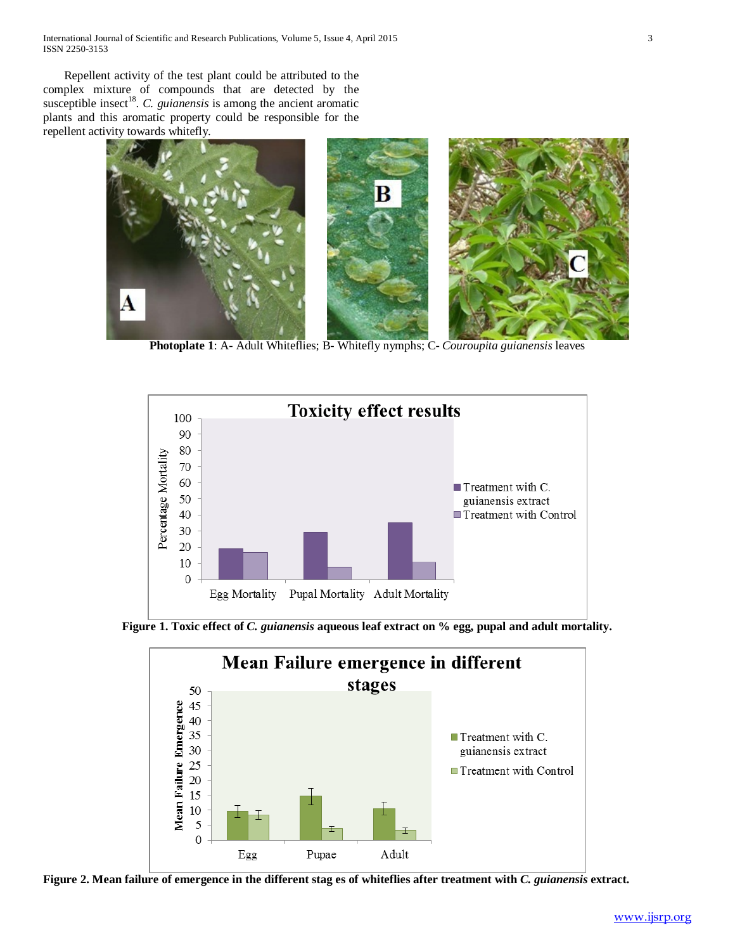International Journal of Scientific and Research Publications, Volume 5, Issue 4, April 2015 3 ISSN 2250-3153

 Repellent activity of the test plant could be attributed to the complex mixture of compounds that are detected by the susceptible insect<sup>18</sup>. *C. guianensis* is among the ancient aromatic plants and this aromatic property could be responsible for the repellent activity towards whitefly.



**Photoplate 1**: A- Adult Whiteflies; B- Whitefly nymphs; C- *Couroupita guianensis* leaves



**Figure 1. Toxic effect of** *C. guianensis* **aqueous leaf extract on % egg, pupal and adult mortality.**



**Figure 2. Mean failure of emergence in the different stag es of whiteflies after treatment with** *C. guianensis* **extract.**